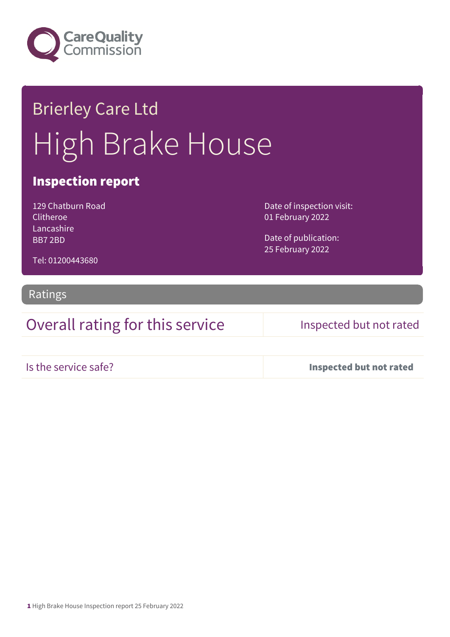

# Brierley Care Ltd High Brake House

## Inspection report

129 Chatburn Road Clitheroe Lancashire BB7 2BD

Date of inspection visit: 01 February 2022

Date of publication: 25 February 2022

Tel: 01200443680

### Ratings

Overall rating for this service Inspected but not rated

Is the service safe? Inspected but not rated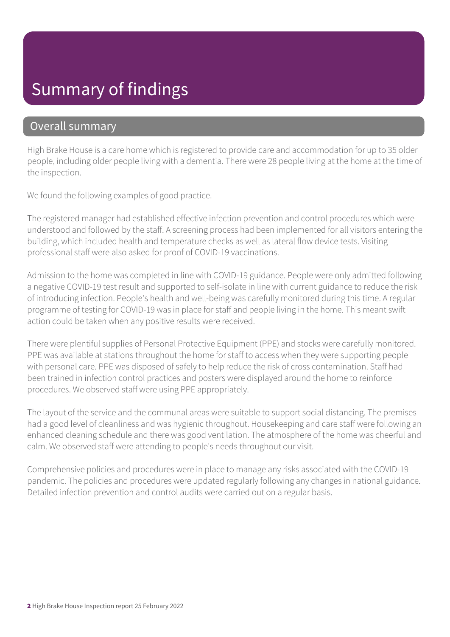# Summary of findings

### Overall summary

High Brake House is a care home which is registered to provide care and accommodation for up to 35 older people, including older people living with a dementia. There were 28 people living at the home at the time of the inspection.

We found the following examples of good practice.

The registered manager had established effective infection prevention and control procedures which were understood and followed by the staff. A screening process had been implemented for all visitors entering the building, which included health and temperature checks as well as lateral flow device tests. Visiting professional staff were also asked for proof of COVID-19 vaccinations.

Admission to the home was completed in line with COVID-19 guidance. People were only admitted following a negative COVID-19 test result and supported to self-isolate in line with current guidance to reduce the risk of introducing infection. People's health and well-being was carefully monitored during this time. A regular programme of testing for COVID-19 was in place for staff and people living in the home. This meant swift action could be taken when any positive results were received.

There were plentiful supplies of Personal Protective Equipment (PPE) and stocks were carefully monitored. PPE was available at stations throughout the home for staff to access when they were supporting people with personal care. PPE was disposed of safely to help reduce the risk of cross contamination. Staff had been trained in infection control practices and posters were displayed around the home to reinforce procedures. We observed staff were using PPE appropriately.

The layout of the service and the communal areas were suitable to support social distancing. The premises had a good level of cleanliness and was hygienic throughout. Housekeeping and care staff were following an enhanced cleaning schedule and there was good ventilation. The atmosphere of the home was cheerful and calm. We observed staff were attending to people's needs throughout our visit.

Comprehensive policies and procedures were in place to manage any risks associated with the COVID-19 pandemic. The policies and procedures were updated regularly following any changes in national guidance. Detailed infection prevention and control audits were carried out on a regular basis.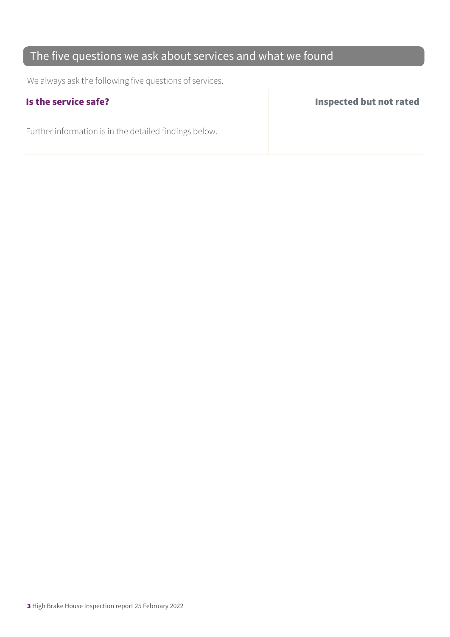## The five questions we ask about services and what we found

We always ask the following five questions of services.

Further information is in the detailed findings below.

Is the service safe? Inspected but not rated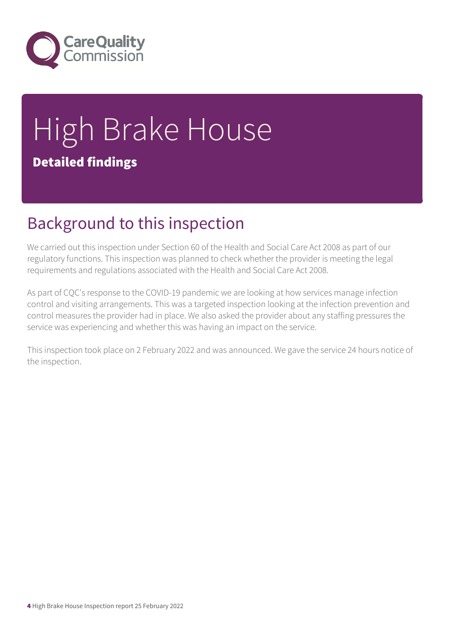

# High Brake House Detailed findings

# Background to this inspection

We carried out this inspection under Section 60 of the Health and Social Care Act 2008 as part of our regulatory functions. This inspection was planned to check whether the provider is meeting the legal requirements and regulations associated with the Health and Social Care Act 2008.

As part of CQC's response to the COVID-19 pandemic we are looking at how services manage infection control and visiting arrangements. This was a targeted inspection looking at the infection prevention and control measures the provider had in place. We also asked the provider about any staffing pressures the service was experiencing and whether this was having an impact on the service.

This inspection took place on 2 February 2022 and was announced. We gave the service 24 hours notice of the inspection.